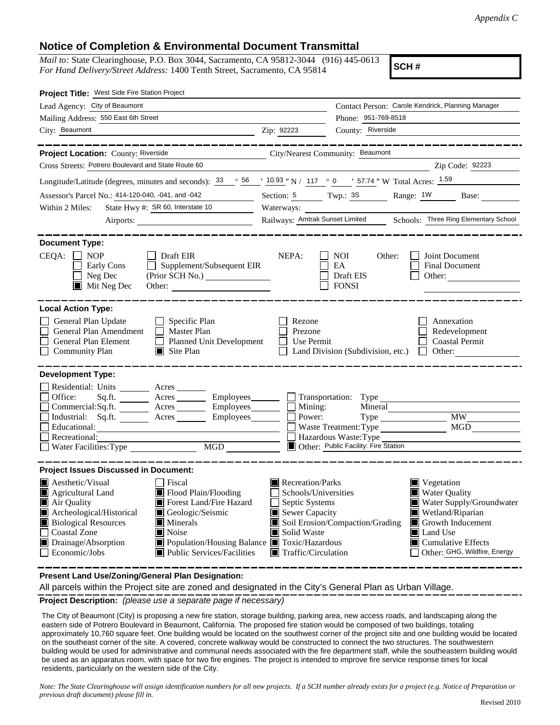## **Notice of Completion & Environmental Document Transmittal**

*Mail to:* State Clearinghouse, P.O. Box 3044, Sacramento, CA 95812-3044 (916) 445-0613 *For Hand Delivery/Street Address:* 1400 Tenth Street, Sacramento, CA 95814

**SCH #**

| Project Title: West Side Fire Station Project                                                                                                                                                                                                                                                                                                                                                                                              |                                                                                                                                          |                                                                                        |                                                                                                                                                                                                                |
|--------------------------------------------------------------------------------------------------------------------------------------------------------------------------------------------------------------------------------------------------------------------------------------------------------------------------------------------------------------------------------------------------------------------------------------------|------------------------------------------------------------------------------------------------------------------------------------------|----------------------------------------------------------------------------------------|----------------------------------------------------------------------------------------------------------------------------------------------------------------------------------------------------------------|
| Lead Agency: City of Beaumont                                                                                                                                                                                                                                                                                                                                                                                                              |                                                                                                                                          |                                                                                        | Contact Person: Carole Kendrick, Planning Manager                                                                                                                                                              |
| Mailing Address: 550 East 6th Street                                                                                                                                                                                                                                                                                                                                                                                                       | Phone: 951-769-8518                                                                                                                      |                                                                                        |                                                                                                                                                                                                                |
| City: Beaumont<br><u>2ip: 92223</u>                                                                                                                                                                                                                                                                                                                                                                                                        |                                                                                                                                          | County: Riverside                                                                      |                                                                                                                                                                                                                |
|                                                                                                                                                                                                                                                                                                                                                                                                                                            |                                                                                                                                          |                                                                                        |                                                                                                                                                                                                                |
| Project Location: County: Riverside City/Nearest Community: Beaumont                                                                                                                                                                                                                                                                                                                                                                       |                                                                                                                                          |                                                                                        |                                                                                                                                                                                                                |
| Cross Streets: Potrero Boulevard and State Route 60                                                                                                                                                                                                                                                                                                                                                                                        |                                                                                                                                          |                                                                                        | Zip Code: 92223                                                                                                                                                                                                |
| Longitude/Latitude (degrees, minutes and seconds): $\frac{33}{56}$ $\frac{56}{10.93}$ N / $\frac{117}{20}$ 0 $\frac{157.74}{57.74}$ W Total Acres: $\frac{1.59}{20}$                                                                                                                                                                                                                                                                       |                                                                                                                                          |                                                                                        |                                                                                                                                                                                                                |
| Assessor's Parcel No.: 414-120-040, -041, and -042                                                                                                                                                                                                                                                                                                                                                                                         |                                                                                                                                          |                                                                                        | Section: 5 Twp.: 3S Range: 1W Base:                                                                                                                                                                            |
| State Hwy #: SR 60, Interstate 10<br>Within 2 Miles:                                                                                                                                                                                                                                                                                                                                                                                       | Waterways:                                                                                                                               |                                                                                        |                                                                                                                                                                                                                |
|                                                                                                                                                                                                                                                                                                                                                                                                                                            | Railways: Amtrak Sunset Limited Schools: Three Ring Elementary School                                                                    |                                                                                        |                                                                                                                                                                                                                |
| <b>Document Type:</b>                                                                                                                                                                                                                                                                                                                                                                                                                      |                                                                                                                                          |                                                                                        |                                                                                                                                                                                                                |
| $CEQA: \Box NP$<br>$\Box$ Draft EIR<br>Supplement/Subsequent EIR<br>$\Box$ Early Cons<br>$\Box$ Neg Dec<br>$\blacksquare$ Mit Neg Dec                                                                                                                                                                                                                                                                                                      | NEPA:                                                                                                                                    | NOI<br>Other:<br>EA<br>$\Box$ Draft EIS<br>$\Box$ FONSI                                | Joint Document<br><b>Final Document</b><br>Other:                                                                                                                                                              |
| <b>Local Action Type:</b><br>General Plan Update<br>$\Box$ Specific Plan<br>General Plan Amendment<br>$\Box$ Master Plan<br>General Plan Element<br>Planned Unit Development<br>$\mathsf{L}$<br>$\Box$<br><b>Community Plan</b><br>$\Box$ Site Plan                                                                                                                                                                                        | Rezone<br>Prezone<br>$\Box$ Use Permit                                                                                                   |                                                                                        | Annexation<br>Redevelopment<br>Coastal Permit<br>$\Box$ Land Division (Subdivision, etc.) $\Box$ Other:                                                                                                        |
| <b>Development Type:</b><br>Residential: Units ________ Acres _______<br>Sq.ft. ________ Acres _________ Employees _______ __ Transportation: Type _________________________<br>Office:<br>$Commercial:Sq.fit.$ $\overline{\qquad}$ Acres $\overline{\qquad}$ Employees $\overline{\qquad}$ Mining:<br>Industrial: Sq.ft. <u>Acres</u> Acres Employees <b>Employees</b> Reserves<br>Educational:<br>Recreational:                          |                                                                                                                                          | Waste Treatment: Type<br>Hazardous Waste: Type<br>Other: Public Facility: Fire Station | <b>MW</b><br>MGD                                                                                                                                                                                               |
| <b>Project Issues Discussed in Document:</b>                                                                                                                                                                                                                                                                                                                                                                                               |                                                                                                                                          |                                                                                        |                                                                                                                                                                                                                |
| $\blacksquare$ Aesthetic/Visual<br>Fiscal<br>Agricultural Land<br>Flood Plain/Flooding<br>Air Quality<br>Forest Land/Fire Hazard<br>Archeological/Historical<br>Geologic/Seismic<br><b>Biological Resources</b><br>$\blacksquare$ Minerals<br>$\Box$<br>Coastal Zone<br>$\blacksquare$ Noise<br>Drainage/Absorption<br>■ Population/Housing Balance ■ Toxic/Hazardous<br>$\Box$ Economic/Jobs<br>$\blacksquare$ Public Services/Facilities | Recreation/Parks<br>Schools/Universities<br>$\Box$ Septic Systems<br>Sewer Capacity<br>Solid Waste<br>$\blacksquare$ Traffic/Circulation | Soil Erosion/Compaction/Grading                                                        | $\blacksquare$ Vegetation<br><b>Water Quality</b><br>Water Supply/Groundwater<br>Wetland/Riparian<br>Growth Inducement<br><b>Land Use</b><br>$\blacksquare$ Cumulative Effects<br>Other: GHG, Wildfire, Energy |

**Present Land Use/Zoning/General Plan Designation:**

All parcels within the Project site are zoned and designated in the City's General Plan as Urban Village.

**Project Description:** *(please use a separate page if necessary)*

 The City of Beaumont (City) is proposing a new fire station, storage building, parking area, new access roads, and landscaping along the eastern side of Potrero Boulevard in Beaumont, California. The proposed fire station would be composed of two buildings, totaling approximately 10,760 square feet. One building would be located on the southwest corner of the project site and one building would be located on the southeast corner of the site. A covered, concrete walkway would be constructed to connect the two structures. The southwestern building would be used for administrative and communal needs associated with the fire department staff, while the southeastern building would be used as an apparatus room, with space for two fire engines. The project is intended to improve fire service response times for local residents, particularly on the western side of the City.

*Note: The State Clearinghouse will assign identification numbers for all new projects. If a SCH number already exists for a project (e.g. Notice of Preparation or previous draft document) please fill in.*